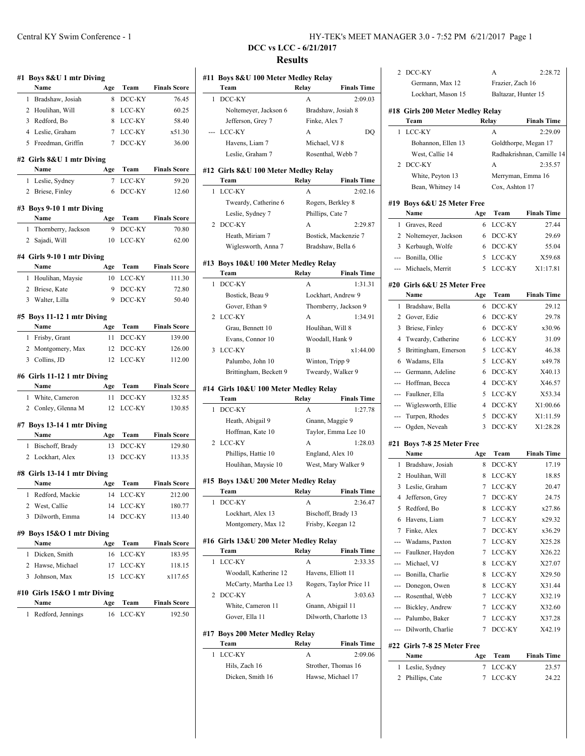|              | Name                                                              | Age         | Team             | <b>Finals Score</b>                                         |
|--------------|-------------------------------------------------------------------|-------------|------------------|-------------------------------------------------------------|
| 1            | Bradshaw, Josiah                                                  | 8           | DCC-KY           | 76.45                                                       |
|              | 2 Houlihan, Will                                                  | 8           | LCC-KY           | 60.25                                                       |
|              | 3 Redford, Bo                                                     | 8           | LCC-KY           | 58.40                                                       |
|              | 4 Leslie, Graham                                                  | $7^{\circ}$ | LCC-KY           | x51.30                                                      |
|              | 5 Freedman, Griffin                                               | 7           | DCC-KY           | 36.00                                                       |
|              | #2 Girls 8&U 1 mtr Diving                                         |             |                  |                                                             |
|              | Name                                                              | Age         | Team             | <b>Finals Score</b>                                         |
| 1            | Leslie, Sydney                                                    | 7           | LCC-KY           | 59.20                                                       |
| 2            | Briese, Finley                                                    | 6           | DCC-KY           | 12.60                                                       |
|              | #3 Boys 9-10 1 mtr Diving                                         |             |                  |                                                             |
|              | Name                                                              | Age         | Team             | <b>Finals Score</b>                                         |
| 1            | Thornberry, Jackson                                               | 9           | DCC-KY           | 70.80                                                       |
| $\mathbf{2}$ | Sajadi, Will                                                      | 10          | LCC-KY           | 62.00                                                       |
|              | #4 Girls 9-10 1 mtr Diving<br>Name                                | Age         | Team             | <b>Finals Score</b>                                         |
| 1            | Houlihan, Maysie                                                  | 10          | LCC-KY           | 111.30                                                      |
|              | 2 Briese, Kate                                                    | 9           | DCC-KY           | 72.80                                                       |
|              | 3 Walter, Lilla                                                   | 9           | DCC-KY           | 50.40                                                       |
|              |                                                                   |             |                  |                                                             |
|              | #5 Boys 11-12 1 mtr Diving<br>Name                                | Age         | Team             | <b>Finals Score</b>                                         |
|              | 1 Frisby, Grant                                                   | 11          | DCC-KY           | 139.00                                                      |
|              |                                                                   |             |                  |                                                             |
|              |                                                                   |             |                  |                                                             |
|              | 2 Montgomery, Max<br>3 Collins, JD<br>#6 Girls 11-12 1 mtr Diving | 12<br>12    | DCC-KY<br>LCC-KY |                                                             |
| 1            | Name<br>White, Cameron                                            | Age<br>11   | Team<br>DCC-KY   | 126.00<br>132.85                                            |
|              | 2 Conley, Glenna M                                                | 12          | LCC-KY           | 112.00<br><b>Finals Score</b><br>130.85                     |
|              |                                                                   |             |                  |                                                             |
|              | #7 Boys 13-14 1 mtr Diving<br>Name                                | Age         | Team             |                                                             |
| 1            | Bischoff, Brady                                                   | 13          | DCC-KY           | 129.80                                                      |
|              | 2 Lockhart, Alex                                                  | 13          | DCC-KY           | <b>Finals Score</b><br>113.35                               |
|              |                                                                   |             |                  |                                                             |
|              | #8 Girls 13-14 1 mtr Diving<br>Name                               | Age         | Team             | <b>Finals Score</b>                                         |
| 1            | Redford, Mackie                                                   | 14          | LCC-KY           |                                                             |
| 2            | West, Callie                                                      | 14          | LCC-KY           |                                                             |
| 3            | Dilworth, Emma                                                    | 14          | DCC-KY           |                                                             |
|              | #9 Boys 15&O 1 mtr Diving                                         |             |                  | 180.77                                                      |
|              | Name                                                              | Age         | Team             |                                                             |
| 1            | Dicken, Smith                                                     | 16          | LCC-KY           |                                                             |
| 2            | Hawse, Michael                                                    | 17          | LCC-KY           | 212.00<br>113.40<br><b>Finals Score</b><br>183.95<br>118.15 |
| 3            | Johnson, Max                                                      | 15          | LCC-KY           |                                                             |
|              | #10 Girls 15&O 1 mtr Diving                                       |             |                  |                                                             |
| 1            | Name<br>Redford, Jennings                                         | Age<br>16   | Team<br>LCC-KY   | x117.65<br><b>Finals Score</b><br>192.50                    |

# **DCC vs LCC - 6/21/2017 Results**

|                          | Team                                          | Relay            | <b>Finals Time</b>                                                                   |
|--------------------------|-----------------------------------------------|------------------|--------------------------------------------------------------------------------------|
| 1                        | DCC-KY                                        | A                | 2:09.03                                                                              |
|                          | Noltemeyer, Jackson 6                         |                  | Bradshaw, Josiah 8                                                                   |
|                          | Jefferson, Grey 7                             | Finke, Alex 7    |                                                                                      |
|                          | LCC-KY                                        | A                | DQ                                                                                   |
|                          | Havens, Liam 7                                | Michael, VJ 8    |                                                                                      |
|                          | Leslie, Graham 7                              |                  | Rosenthal, Webb 7                                                                    |
|                          | #12 Girls 8&U 100 Meter Medley Relay<br>Team  | Relay            | <b>Finals Time</b>                                                                   |
|                          | LCC-KY                                        | A                | 2:02.16                                                                              |
| 1                        |                                               |                  |                                                                                      |
|                          | Tweardy, Catherine 6                          |                  | Rogers, Berkley 8                                                                    |
|                          | Leslie, Sydney 7                              | Phillips, Cate 7 |                                                                                      |
| 2                        | DCC-KY                                        | A                | 2:29.87                                                                              |
|                          | Heath, Miriam 7                               |                  | Bostick, Mackenzie 7                                                                 |
|                          | Wiglesworth, Anna 7                           |                  | Bradshaw, Bella 6                                                                    |
|                          | #13 Boys 10&U 100 Meter Medley Relay          |                  |                                                                                      |
|                          | Team                                          | Relay            | <b>Finals Time</b>                                                                   |
| 1                        | DCC-KY                                        | A                | 1:31.31                                                                              |
|                          | Bostick, Beau 9                               |                  | Lockhart, Andrew 9                                                                   |
|                          | Gover, Ethan 9                                |                  | Thornberry, Jackson 9                                                                |
| 2                        | LCC-KY                                        | A                | 1:34.91                                                                              |
|                          | Grau, Bennett 10                              |                  | Houlihan, Will 8                                                                     |
|                          | Evans, Connor 10                              |                  | Woodall, Hank 9                                                                      |
| 3                        | LCC-KY                                        | B                | x1:44.00                                                                             |
|                          | Palumbo, John 10                              |                  | Winton, Tripp 9                                                                      |
|                          | Brittingham, Beckett 9                        |                  | Tweardy, Walker 9                                                                    |
|                          | #14 Girls 10&U 100 Meter Medley Relay         |                  |                                                                                      |
|                          | Team<br>DCC-KY                                | Relay<br>A       |                                                                                      |
|                          | Heath, Abigail 9                              |                  | <b>Finals Time</b><br>1:27.78<br>Gnann, Maggie 9                                     |
|                          |                                               |                  | Taylor, Emma Lee 10                                                                  |
|                          | Hoffman, Kate 10<br>LCC-KY                    | A                | 1:28.03                                                                              |
| 1<br>2                   |                                               |                  |                                                                                      |
|                          | Phillips, Hattie 10<br>Houlihan, Maysie 10    |                  | England, Alex 10<br>West, Mary Walker 9                                              |
|                          |                                               |                  |                                                                                      |
|                          | #15 Boys 13&U 200 Meter Medley Relay<br>1 eam | Relay            |                                                                                      |
|                          | DCC-KY                                        | А                |                                                                                      |
|                          |                                               |                  |                                                                                      |
|                          | Lockhart, Alex 13                             |                  | Bischoff, Brady 13                                                                   |
|                          | Montgomery, Max 12                            |                  | Frisby, Keegan 12                                                                    |
|                          | #16 Girls 13&U 200 Meter Medley Relay<br>Team | Relay            |                                                                                      |
|                          |                                               |                  |                                                                                      |
|                          | LCC-KY                                        | A                |                                                                                      |
|                          | Woodall, Katherine 12                         |                  | <b>Finals Time</b><br>2:36.47<br><b>Finals Time</b><br>2:33.35<br>Havens, Elliott 11 |
|                          | McCarty, Martha Lee 13                        |                  | Rogers, Taylor Price 11                                                              |
|                          | DCC-KY                                        | A                | 3:03.63                                                                              |
| 1<br>1<br>$\overline{c}$ | White, Cameron 11                             |                  | Gnann, Abigail 11                                                                    |
|                          | Gover, Ella 11                                |                  | Dilworth, Charlotte 13                                                               |
|                          | #17 Boys 200 Meter Medley Relay               |                  |                                                                                      |
| 1                        | Team                                          | Relay            |                                                                                      |
|                          | LCC-KY                                        | A                | <b>Finals Time</b><br>2:09.06                                                        |
|                          | Hils, Zach 16                                 |                  | Strother, Thomas 16                                                                  |
|                          | Dicken, Smith 16                              |                  | Hawse, Michael 17                                                                    |

|               | 2 Phillips, Cate                      | 7              | LCC-KY                                  | 24.22                     |
|---------------|---------------------------------------|----------------|-----------------------------------------|---------------------------|
| 1             | Leslie, Sydney                        | 7              | LCC-KY                                  | 23.57                     |
|               |                                       |                |                                         |                           |
|               | #22 Girls 7-8 25 Meter Free<br>Name   | Age            | Team                                    | <b>Finals Time</b>        |
|               |                                       |                |                                         |                           |
|               | --- Dilworth, Charlie                 | 7              | DCC-KY                                  | X42.19                    |
|               | --- Palumbo, Baker                    | 7              | LCC-KY                                  | X37.28                    |
|               | --- Bickley, Andrew                   | 7              | LCC-KY                                  | X32.60                    |
|               | --- Rosenthal, Webb                   | 7              | LCC-KY                                  | X32.19                    |
|               | --- Donegon, Owen                     | 8              | LCC-KY                                  | X31.44                    |
|               | --- Bonilla, Charlie                  | 8              | LCC-KY                                  | X29.50                    |
|               | --- Michael, VJ                       | 8              | LCC-KY                                  | X27.07                    |
|               | --- Faulkner, Haydon                  | 7              | LCC-KY                                  | X26.22                    |
| ---           | Wadams, Paxton                        | 7              | LCC-KY                                  | X25.28                    |
| 7             | Finke, Alex                           | 7              | DCC-KY                                  | x36.29                    |
| 6             | Havens, Liam                          | 7              | LCC-KY                                  | x29.32                    |
| 5             | Redford, Bo                           | 8              | LCC-KY                                  | x27.86                    |
|               | 4 Jefferson, Grey                     | 7              | DCC-KY                                  | 24.75                     |
| 3             | Leslie, Graham                        | 7              | LCC-KY                                  | 20.47                     |
|               | 2 Houlihan, Will                      | 8              | LCC-KY                                  | 18.85                     |
| 1             | Bradshaw, Josiah                      | 8              | DCC-KY                                  | 17.19                     |
|               | Name                                  | Age            | Team                                    | <b>Finals Time</b>        |
|               | #21 Boys 7-8 25 Meter Free            |                |                                         |                           |
| ---           | Ogden, Neveah                         | 3              | DCC-KY                                  | X1:28.28                  |
| ---           | Turpen, Rhodes                        | 5              | DCC-KY                                  | X1:11.59                  |
| ---           | Wiglesworth, Ellie                    |                | DCC-KY                                  | X1:00.66                  |
| $\frac{1}{2}$ | Faulkner, Ella                        | $\overline{4}$ |                                         |                           |
| ---           | Hoffman, Becca                        | 5              | LCC-KY                                  | X46.57<br>X53.34          |
|               |                                       | 4              | DCC-KY                                  |                           |
|               | --- Germann, Adeline                  | 6              | DCC-KY                                  | X40.13                    |
| 6             | Wadams, Ella                          | 5              | LCC-KY                                  | x49.78                    |
| 5             | Brittingham, Emerson                  | 5              | LCC-KY                                  | 46.38                     |
| 4             | Tweardy, Catherine                    | 6              | LCC-KY                                  | 31.09                     |
| 3             | Briese, Finley                        | 6              | DCC-KY                                  | x30.96                    |
|               | 2 Gover, Edie                         | 6              | DCC-KY                                  | 29.78                     |
| 1             | Bradshaw, Bella                       | 6              | DCC-KY                                  | 29.12                     |
|               | Name                                  | Age            | Team                                    | <b>Finals Time</b>        |
|               | #20 Girls 6&U 25 Meter Free           |                |                                         |                           |
|               | --- Michaels, Merrit                  | 5              | LCC-KY                                  | X1:17.81                  |
|               | --- Bonilla, Ollie                    | 5              | LCC-KY                                  | X59.68                    |
|               | 3 Kerbaugh, Wolfe                     | 6              | DCC-KY                                  | 55.04                     |
| 2             | Noltemeyer, Jackson                   | 6              | DCC-KY                                  | 29.69                     |
| 1             | Graves, Reed                          | 6              | LCC-KY                                  | 27.44                     |
|               | Name                                  | Age            | Team                                    | <b>Finals Time</b>        |
|               | #19 Boys 6&U 25 Meter Free            |                |                                         |                           |
|               | Bean, Whitney 14                      |                | Cox, Ashton 17                          |                           |
|               | White, Peyton 13                      |                |                                         | Merryman, Emma 16         |
| 2             | DCC-KY                                |                | A                                       | 2:35.57                   |
|               | West, Callie 14                       |                |                                         | Radhakrishnan, Camille 14 |
|               | Bohannon, Ellen 13                    |                |                                         | Goldthorpe, Megan 17      |
| 1             | LCC-KY                                |                | A                                       | 2:29.09                   |
|               | Team                                  |                | Relay                                   | <b>Finals Time</b>        |
|               | #18 Girls 200 Meter Medley Relay      |                |                                         |                           |
|               |                                       |                |                                         |                           |
|               | Germann, Max 12<br>Lockhart, Mason 15 |                | Frazier, Zach 16<br>Baltazar, Hunter 15 |                           |
| 2             | DCC-KY                                |                | А                                       | 2:28.72                   |
|               |                                       |                |                                         |                           |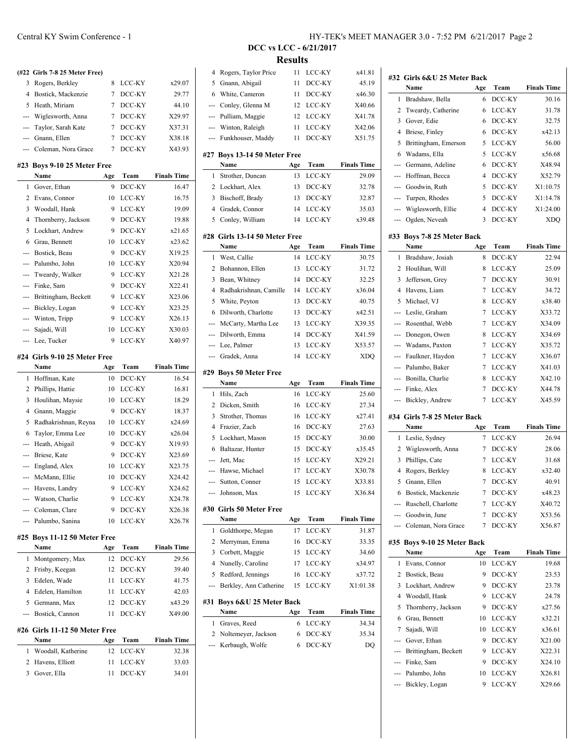## **(#22 Girls 7-8 25 Meter Free)** 3 Rogers, Berkley 8 LCC-KY x29.07 4 Bostick, Mackenzie 7 DCC-KY 29.77 5 Heath, Miriam 7 DCC-KY 44.10 --- Wiglesworth, Anna 7 DCC-KY X29.97 --- Taylor, Sarah Kate 7 DCC-KY X37.31 --- Gnann, Ellen 7 DCC-KY X38.18 --- Coleman, Nora Grace 7 DCC-KY X43.93 **#23 Boys 9-10 25 Meter Free**

|   | Name                     | Age | Team   | <b>Finals Time</b> |
|---|--------------------------|-----|--------|--------------------|
| 1 | Gover, Ethan             | 9   | DCC-KY | 16.47              |
| 2 | Evans, Connor            | 10  | LCC-KY | 16.75              |
| 3 | Woodall, Hank            | 9   | LCC-KY | 19.09              |
| 4 | Thornberry, Jackson      | 9   | DCC-KY | 19.88              |
| 5 | Lockhart, Andrew         | 9   | DCC-KY | x21.65             |
| 6 | Grau, Bennett            | 10  | LCC-KY | x23.62             |
|   | --- Bostick, Beau        | 9   | DCC-KY | X19.25             |
|   | --- Palumbo, John        | 10  | LCC-KY | X20.94             |
|   | --- Tweardy, Walker      | 9   | LCC-KY | X21.28             |
|   | --- Finke, Sam           | 9   | DCC-KY | X22.41             |
|   | --- Brittingham, Beckett | 9   | LCC-KY | X23.06             |
|   | --- Bickley, Logan       | 9   | LCC-KY | X23.25             |
|   | Winton, Tripp            | 9   | LCC-KY | X26.13             |
|   | --- Sajadi, Will         | 10  | LCC-KY | X30.03             |
|   | --- Lee, Tucker          | 9   | LCC-KY | X40.97             |

#### **#24 Girls 9-10 25 Meter Free**

 $\overline{a}$ 

|                | Name                 | Age | Team   | <b>Finals Time</b> |
|----------------|----------------------|-----|--------|--------------------|
| 1.             | Hoffman, Kate        | 10  | DCC-KY | 16.54              |
| 2              | Phillips, Hattie     | 10  | LCC-KY | 16.81              |
| 3              | Houlihan, Maysie     | 10  | LCC-KY | 18.29              |
| 4              | Gnann, Maggie        | 9   | DCC-KY | 18.37              |
| 5              | Radhakrishnan, Reyna | 10  | LCC-KY | x24.69             |
| 6              | Taylor, Emma Lee     | 10  | DCC-KY | x26.04             |
|                | --- Heath, Abigail   | 9   | DCC-KY | X19.93             |
|                | --- Briese, Kate     | 9   | DCC-KY | X23.69             |
|                | --- England, Alex    | 10  | LCC-KY | X23.75             |
|                | --- McMann, Ellie    | 10  | DCC-KY | X24.42             |
|                | --- Havens, Landry   | 9   | LCC-KY | X24.62             |
|                | --- Watson, Charlie  | 9   | LCC-KY | X24.78             |
|                | --- Coleman, Clare   | 9   | DCC-KY | X26.38             |
| $\overline{a}$ | Palumbo, Sanina      | 10  | LCC-KY | X26.78             |
|                |                      |     |        |                    |

#### **#25 Boys 11-12 50 Meter Free**

|    | Name                | Age | Team      | <b>Finals Time</b> |
|----|---------------------|-----|-----------|--------------------|
|    | 1 Montgomery, Max   |     | 12 DCC-KY | 29.56              |
|    | 2 Frisby, Keegan    |     | 12 DCC-KY | 39.40              |
| 3  | Edelen, Wade        |     | 11 LCC-KY | 41.75              |
|    | 4 Edelen, Hamilton  | 11. | LCC-KY    | 42.03              |
| 5. | Germann, Max        |     | 12 DCC-KY | x43.29             |
|    | --- Bostick, Cannon |     | DCC-KY    | X49.00             |
|    |                     |     |           |                    |

### **#26 Girls 11-12 50 Meter Free**

| <b>Name</b>          | Age | Team      | <b>Finals Time</b> |
|----------------------|-----|-----------|--------------------|
| 1 Woodall, Katherine |     | 12 LCC-KY | 32.38              |
| 2 Havens, Elliott    |     | 11 LCC-KY | 33.03              |
| 3 Gover, Ella        |     | 11 DCC-KY | 34.01              |
|                      |     |           |                    |

### **DCC vs LCC - 6/21/2017 Results**

|                | Noltemeyer, Jackson<br>Kerbaugh, Wolfe | 6<br>6   | DCC-KY         | DQ                 |
|----------------|----------------------------------------|----------|----------------|--------------------|
|                |                                        |          |                |                    |
|                |                                        |          |                |                    |
| 2              |                                        |          | DCC-KY         | 35.34              |
| 1              | Graves, Reed                           | 6        | LCC-KY         | 34.34              |
| #31            | Boys 6&U 25 Meter Back<br>Name         | Age      | Team           | <b>Finals Time</b> |
|                |                                        |          |                |                    |
| ---            | Berkley, Ann Catherine                 | 15       | LCC-KY         | X1:01.38           |
| 5              | Redford, Jennings                      | 16       | LCC-KY         | x37.72             |
| 4              | Nunelly, Caroline                      | 17       | LCC-KY         | x34.97             |
| 3              | Corbett, Maggie                        | 15       | LCC-KY         | 34.60              |
| 2              | Merryman, Emma                         | 16       | DCC-KY         | 33.35              |
| 1              | Goldthorpe, Megan                      | 17       | LCC-KY         | 31.87              |
|                | Name                                   | Age      | Team           | <b>Finals Time</b> |
|                | #30 Girls 50 Meter Free                |          |                |                    |
| ---            | Johnson, Max                           | 15       | LCC-KY         | X36.84             |
| ---            | Sutton, Conner                         | 15       | LCC-KY         | X33.81             |
| ---            | Hawse, Michael                         | 17       | LCC-KY         | X30.78             |
| ---            | Jett, Mac                              | 15       | LCC-KY         | X29.21             |
| 6              | Baltazar, Hunter                       | 15       | DCC-KY         | x35.45             |
| 5              | Lockhart, Mason                        | 15       | DCC-KY         | 30.00              |
| 4              | Frazier, Zach                          | 16       | DCC-KY         | 27.63              |
| 3              | Strother, Thomas                       | 16       | LCC-KY         | x27.41             |
| 2              | Dicken, Smith                          | 16       | LCC-KY         | 27.34              |
| 1              | Hils, Zach                             | 16       | LCC-KY         | 25.60              |
|                | Name                                   | Age      | Team           | <b>Finals Time</b> |
|                | #29 Boys 50 Meter Free                 |          |                |                    |
| ---            | Gradek, Anna                           | 14       | LCC-KY         | XDQ                |
| ---            | Lee, Palmer                            | 13       | LCC-KY         | X53.57             |
| ---            | Dilworth, Emma                         | 14       | DCC-KY         | X41.59             |
| ---            | McCarty, Martha Lee                    | 13       | LCC-KY         | X39.35             |
| 6              | Dilworth, Charlotte                    | 13       | DCC-KY         | x42.51             |
| 5              | White, Peyton                          | 13       | DCC-KY         | 40.75              |
| $\overline{4}$ | Radhakrishnan, Camille                 | 14       | LCC-KY         | x36.04             |
| 3              | Bean, Whitney                          | 14       | DCC-KY         | 32.25              |
| 2              | Bohannon, Ellen                        | 13       | LCC-KY         | 31.72              |
| 1              | West, Callie                           | 14       | LCC-KY         | 30.75              |
|                | Name                                   | Age      | Team           | <b>Finals Time</b> |
| #28            | Girls 13-14 50 Meter Free              |          |                |                    |
|                |                                        |          |                |                    |
| 5              | Conley, William                        | 14       | LCC-KY         | x39.48             |
| 4              | Gradek, Connor                         | 14       | LCC-KY         | 35.03              |
| 3              | Bischoff, Brady                        | 13       | DCC-KY         | 32.87              |
| 2              | Lockhart, Alex                         | 13<br>13 | DCC-KY         | 29.09<br>32.78     |
| 1              | Strother, Duncan                       | Age      | Team<br>LCC-KY | <b>Finals Time</b> |
|                | #27 Boys 13-14 50 Meter Free<br>Name   |          |                |                    |
|                |                                        |          |                |                    |
| ---            | Funkhouser, Maddy                      | 11       | DCC-KY         | X51.75             |
| ---            | Winton, Raleigh                        | 11       | LCC-KY         | X42.06             |
| ---            | Pulliam, Maggie                        | 12       | LCC-KY         | X41.78             |
| ---            | Conley, Glenna M                       | 12       | LCC-KY         | X40.66             |
| 6              | White, Cameron                         | 11       | DCC-KY         | x46.30             |
| 5              | Gnann, Abigail                         | 11       | DCC-KY         | 45.19              |
| 4              | Rogers, Taylor Price                   | 11       | LCC-KY         | x41.81             |

|                       | #32 Girls 6&U 25 Meter Back         |                |                  |                    |
|-----------------------|-------------------------------------|----------------|------------------|--------------------|
|                       | Name                                | Age            | Team             | <b>Finals Time</b> |
| 1                     | Bradshaw, Bella                     | 6              | DCC-KY           | 30.16              |
| 2                     | Tweardy, Catherine                  | 6              | LCC-KY           | 31.78              |
| 3                     | Gover, Edie                         | 6              | DCC-KY           | 32.75              |
| 4                     | Briese, Finley                      | 6              | DCC-KY           | x42.13             |
| 5                     | Brittingham, Emerson                | 5              | LCC-KY           | 56.00              |
| 6                     | Wadams, Ella                        | 5              | LCC-KY           | x56.68             |
| ---                   | Germann, Adeline                    | 6              | DCC-KY           | X48.94             |
| $\overline{a}$        | Hoffman, Becca                      | 4              | DCC-KY           | X52.79             |
| $\overline{a}$        | Goodwin, Ruth                       | 5              | DCC-KY           | X1:10.75           |
| ---                   | Turpen, Rhodes                      | 5              | DCC-KY           | X1:14.78           |
| ---                   | Wiglesworth, Ellie                  | 4              | DCC-KY           | X1:24.00           |
| ---                   | Ogden, Neveah                       | 3              | DCC-KY           | <b>XDQ</b>         |
|                       | #33 Boys 7-8 25 Meter Back          |                |                  |                    |
|                       | Name                                | Age            | Team             | <b>Finals Time</b> |
| 1                     | Bradshaw, Josiah                    | 8              | DCC-KY           | 22.94              |
| 2                     | Houlihan, Will                      | 8              | LCC-KY           | 25.09              |
| 3                     | Jefferson, Grey                     | 7              | DCC-KY           | 30.91              |
| $\overline{4}$        | Havens, Liam                        | 7              | LCC-KY           | 34.72              |
| 5                     | Michael, VJ                         | 8              | LCC-KY           | x38.40             |
| $\overline{a}$        | Leslie, Graham                      | 7              | LCC-KY           | X33.72             |
| ---                   | Rosenthal, Webb                     | 7              | LCC-KY           | X34.09             |
| $\overline{a}$        | Donegon, Owen                       | 8              | LCC-KY           | X34.69             |
| ---                   | Wadams, Paxton                      | 7              | LCC-KY           | X35.72             |
| $\overline{a}$        | Faulkner, Haydon                    | 7              | LCC-KY           | X36.07             |
| $\overline{a}$        | Palumbo, Baker                      | 7              | LCC-KY           | X41.03             |
| $\overline{a}$        | Bonilla, Charlie                    | 8              | LCC-KY           | X42.10             |
| $---$                 | Finke, Alex                         | 7              | DCC-KY           | X44.78             |
| $\overline{a}$        | Bickley, Andrew                     | 7              | LCC-KY           | X45.59             |
|                       | #34 Girls 7-8 25 Meter Back         |                |                  |                    |
|                       | Name                                | Age            | Team             | <b>Finals Time</b> |
| 1                     | Leslie, Sydney                      | 7              | LCC-KY           | 26.94              |
| 2                     | Wiglesworth, Anna                   | 7              | DCC-KY           | 28.06              |
| 3                     | Phillips, Cate                      | 7              | LCC-KY           | 31.68              |
| 4                     | Rogers, Berkley                     | 8              | LCC-KY           | x32.40             |
| 5                     | Gnann, Ellen                        | 7              | DCC-KY           | 40.91              |
| 6                     | Bostick, Mackenzie                  | $\overline{7}$ | DCC-KY           | x48.23             |
| ---                   | Ruschell, Charlotte                 | 7              | LCC-KY           | X40.72             |
| $\overline{a}$        | Goodwin, June                       | 7              | DCC-KY           | X53.56             |
| ---                   | Coleman, Nora Grace                 | 7              | DCC-KY           | X56.87             |
|                       |                                     |                |                  |                    |
|                       | #35 Boys 9-10 25 Meter Back<br>Name | Age            | Team             | <b>Finals Time</b> |
| 1                     | Evans, Connor                       | 10             | LCC-KY           | 19.68              |
| 2                     | Bostick, Beau                       | 9              | DCC-KY           | 23.53              |
| 3                     | Lockhart, Andrew                    | 9              | DCC-KY           | 23.78              |
| 4                     | Woodall, Hank                       | 9              | LCC-KY           | 24.78              |
| 5                     | Thornberry, Jackson                 | 9              | DCC-KY           | x27.56             |
| 6                     | Grau, Bennett                       | 10             | LCC-KY           | x32.21             |
| 7                     | Sajadi, Will                        | 10             | LCC-KY           | x36.61             |
| ---                   | Gover, Ethan                        | 9              | DCC-KY           | X21.00             |
|                       | --- Brittingham, Beckett            | 9              | LCC-KY           | X22.31             |
|                       |                                     |                |                  |                    |
|                       |                                     |                |                  |                    |
| $\overline{a}$<br>--- | Finke, Sam<br>Palumbo, John         | 9<br>10        | DCC-KY<br>LCC-KY | X24.10<br>X26.81   |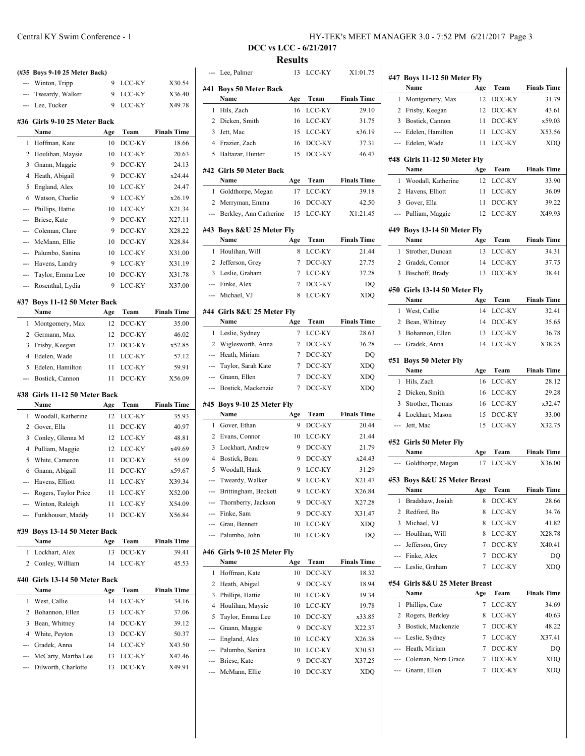|                | (#35 Boys 9-10 25 Meter Back)              |          |                  |                    |
|----------------|--------------------------------------------|----------|------------------|--------------------|
| ---            | Winton, Tripp                              | 9        | LCC-KY           | X30.54             |
| $\overline{a}$ | Tweardy, Walker                            | 9        | LCC-KY           | X36.40             |
| ---            | Lee, Tucker                                | 9        | LCC-KY           | X49.78             |
|                | #36 Girls 9-10 25 Meter Back               |          |                  |                    |
|                | Name                                       | Age      | Team             | <b>Finals Time</b> |
| 1              | Hoffman, Kate                              | 10       | DCC-KY           | 18.66              |
| 2              | Houlihan, Maysie                           | 10       | LCC-KY           | 20.63              |
| 3              | Gnann, Maggie                              | 9        | DCC-KY           | 24.13              |
| 4              | Heath, Abigail                             | 9        | DCC-KY           | x24.44             |
| 5              | England, Alex                              | 10       | LCC-KY           | 24.47              |
| 6              | Watson, Charlie                            | 9        | LCC-KY           | x26.19             |
| ---            | Phillips, Hattie                           | 10       | LCC-KY           | X21.34             |
| ---            | Briese, Kate                               | 9        | DCC-KY           | X27.11             |
| ---            | Coleman, Clare                             | 9        | DCC-KY           | X28.22             |
| $\overline{a}$ | McMann, Ellie                              | 10       | DCC-KY           | X28.84             |
| ---            | Palumbo, Sanina<br>Havens, Landry          | 10<br>9  | LCC-KY<br>LCC-KY | X31.00<br>X31.19   |
| ---            | Taylor, Emma Lee                           | 10       | DCC-KY           | X31.78             |
| $\cdots$       | Rosenthal, Lydia                           | 9        | LCC-KY           | X37.00             |
|                |                                            |          |                  |                    |
|                | #37 Boys 11-12 50 Meter Back               |          |                  |                    |
|                | Name                                       | Age      | Team             | <b>Finals Time</b> |
| 1              | Montgomery, Max                            | 12       | DCC-KY           | 35.00              |
| 2              | Germann, Max                               | 12       | DCC-KY           | 46.02              |
| 3              | Frisby, Keegan                             | 12       | DCC-KY           | x52.85             |
| 4              | Edelen, Wade                               | 11       | LCC-KY           | 57.12              |
| 5              | Edelen, Hamilton                           | 11       | LCC-KY           | 59.91              |
|                |                                            |          |                  |                    |
| ---            | Bostick, Cannon                            | 11       | DCC-KY           | X56.09             |
|                | #38 Girls 11-12 50 Meter Back              |          |                  |                    |
|                | Name                                       | Age      | Team             | <b>Finals Time</b> |
| 1              | Woodall, Katherine                         | 12       | LCC-KY           | 35.93              |
| 2              | Gover, Ella                                | 11       | DCC-KY           | 40.97              |
| 3              | Conley, Glenna M                           | 12       | LCC-KY           | 48.81              |
| 4              | Pulliam, Maggie                            | 12       | LCC-KY           | x49.69             |
| 5              | White, Cameron                             | 11       | DCC-KY           | 55.09              |
| 6              | Gnann, Abigail                             | 11       | DCC-KY           | x59.67             |
|                | Havens, Elliott                            | 11       | LCC-KY           | X39.34             |
|                | Rogers, Taylor Price                       | 11       | LCC-KY           | X52.00             |
| ---<br>---     | Winton, Raleigh                            | 11       | LCC-KY           | X54.09             |
|                | Funkhouser, Maddy                          | 11       | DCC-KY           | X56.84             |
|                | #39 Boys 13-14 50 Meter Back               |          |                  |                    |
|                | Name                                       | Age      | Team             | <b>Finals Time</b> |
| 1              | Lockhart, Alex                             | 13       | DCC-KY           | 39.41              |
| 2              | Conley, William                            | 14       | LCC-KY           | 45.53              |
|                | #40 Girls 13-14 50 Meter Back              |          |                  |                    |
|                | Name                                       | Age      | Team             | <b>Finals Time</b> |
| 1              | West, Callie                               | 14       | LCC-KY           | 34.16              |
| 2              | Bohannon, Ellen                            | 13       | LCC-KY           | 37.06              |
| 3              | Bean, Whitney                              | 14       | DCC-KY           | 39.12              |
| 4              | White, Peyton                              | 13       | DCC-KY           | 50.37              |
| ---            | Gradek, Anna                               | 14       | LCC-KY           | X43.50             |
| ---<br>---     | McCarty, Martha Lee<br>Dilworth, Charlotte | 13<br>13 | LCC-KY<br>DCC-KY | X47.46<br>X49.91   |

Central KY Swim Conference - 1 HY-TEK's MEET MANAGER 3.0 - 7:52 PM 6/21/2017 Page 3

**DCC vs LCC - 6/21/2017 Results**

|                | Lee, Palmer                        |           |                  | X1:01.75           |
|----------------|------------------------------------|-----------|------------------|--------------------|
| #41            | <b>Boys 50 Meter Back</b>          |           |                  |                    |
|                | Name                               | Age       | Team             | <b>Finals Time</b> |
| 1              | Hils, Zach                         | 16        | LCC-KY           | 29.10              |
| 2              | Dicken, Smith                      | 16        | LCC-KY           | 31.75              |
| 3              | Jett, Mac                          | 15        | LCC-KY           | x36.19             |
|                | 4 Frazier, Zach                    | 16        | DCC-KY           | 37.31              |
| 5              | Baltazar, Hunter                   | 15        | DCC-KY           | 46.47              |
|                | #42 Girls 50 Meter Back            |           |                  |                    |
|                | Name                               | Age       | Team             | <b>Finals Time</b> |
| 1              | Goldthorpe, Megan                  | 17        | LCC-KY           | 39.18              |
| 2              | Merryman, Emma                     | 16        | DCC-KY           | 42.50              |
| ---            | Berkley, Ann Catherine             | 15        | LCC-KY           | X1:21.45           |
|                | #43 Boys 8&U 25 Meter Fly          |           |                  |                    |
|                | Name                               | Age       | Team             | <b>Finals Time</b> |
| 1              | Houlihan, Will                     | 8         | LCC-KY           | 21.44              |
| $\overline{2}$ | Jefferson, Grey                    | 7         | DCC-KY           | 27.75              |
|                | 3 Leslie, Graham                   | 7         | LCC-KY           | 37.28              |
| ---            | Finke, Alex                        | 7         | DCC-KY           | DQ                 |
| ---            | Michael, VJ                        | 8         | LCC-KY           | <b>XDQ</b>         |
|                |                                    |           |                  |                    |
|                | #44 Girls 8&U 25 Meter Flv<br>Name | Age       | Team             | <b>Finals Time</b> |
| 1              | Leslie, Sydney                     | 7         | LCC-KY           | 28.63              |
| 2              | Wiglesworth, Anna                  | 7         | DCC-KY           | 36.28              |
|                | --- Heath, Miriam                  | 7         | DCC-KY           | DQ                 |
| ---            | Taylor, Sarah Kate                 | 7         | DCC-KY           | <b>XDQ</b>         |
| ---            | Gnann, Ellen                       | 7         | DCC-KY           | XDQ                |
| ---            | Bostick, Mackenzie                 | 7         | DCC-KY           | <b>XDQ</b>         |
|                |                                    |           |                  |                    |
|                | #45 Boys 9-10 25 Meter Fly<br>Name | Age       | Team             | <b>Finals Time</b> |
| 1              | Gover, Ethan                       | 9         | DCC-KY           | 20.44              |
| 2              | Evans, Connor                      | 10        | LCC-KY           |                    |
| 3              |                                    |           |                  |                    |
|                |                                    |           |                  | 21.44              |
|                | Lockhart, Andrew                   | 9         | DCC-KY           | 21.79              |
| 4              | Bostick, Beau                      | 9         | DCC-KY           | x24.43             |
| 5              | Woodall, Hank                      | 9         | LCC-KY           | 31.29              |
| ---<br>---     | Tweardy, Walker                    | 9<br>9    | LCC-KY           | X21.47             |
|                | Brittingham, Beckett               |           | LCC-KY           | X26.84             |
| ---            | Thornberry, Jackson                | 9         | DCC-KY           | X27.28             |
| ---            | Finke, Sam                         | 9         | DCC-KY           | X31.47             |
| ---            | --- Grau, Bennett<br>Palumbo, John | 10<br>10  | LCC-KY<br>LCC-KY | XDQ<br>DQ          |
|                |                                    |           |                  |                    |
|                | #46 Girls 9-10 25 Meter Fly        |           |                  |                    |
| 1              | Name<br>Hoffman, Kate              | Age<br>10 | Team             | <b>Finals Time</b> |
|                |                                    | 9         | DCC-KY           | 18.32              |
| 2<br>3         | Heath, Abigail<br>Phillips, Hattie | 10        | DCC-KY<br>LCC-KY | 18.94              |
| 4              |                                    | 10        |                  | 19.34              |
|                | Houlihan, Maysie                   |           | LCC-KY           | 19.78              |
| 5<br>---       | Taylor, Emma Lee                   | 10<br>9   | DCC-KY           | x33.85             |
| ---            | Gnann, Maggie                      | 10        | DCC-KY           | X22.37             |
|                | England, Alex                      |           | LCC-KY           | X26.38             |
| ---            | --- Palumbo, Sanina                | 10        | LCC-KY           | X30.53             |
|                | Briese, Kate<br>McMann, Ellie      | 9<br>10   | DCC-KY<br>DCC-KY | X37.25<br>XDQ      |

|                | #47 Boys 11-12 50 Meter Fly             |        |                  |                    |
|----------------|-----------------------------------------|--------|------------------|--------------------|
|                | Name                                    | Age    | Team             | <b>Finals Time</b> |
| 1              | Montgomery, Max                         | 12     | DCC-KY           | 31.79              |
| 2              | Frisby, Keegan                          | 12     | DCC-KY           | 43.61              |
| 3              | Bostick. Cannon                         | 11     | DCC-KY           | x59.03             |
|                | --- Edelen, Hamilton                    | 11     | LCC-KY           | X53.56             |
|                | --- Edelen, Wade                        | 11     | LCC-KY           | XDO                |
|                | #48 Girls 11-12 50 Meter Fly            |        |                  |                    |
|                | Name                                    | Age    | Team             | <b>Finals Time</b> |
| 1              | Woodall, Katherine                      | 12     | LCC-KY           | 33.90              |
| $\overline{c}$ | Havens, Elliott                         | 11     | LCC-KY           | 36.09              |
| 3              | Gover, Ella                             | 11     | DCC-KY           | 39.22              |
| ---            | Pulliam, Maggie                         | 12     | LCC-KY           | X49.93             |
|                | #49 Boys 13-14 50 Meter Fly             |        |                  |                    |
|                | Name                                    | Age    | Team             | <b>Finals Time</b> |
| 1              | Strother, Duncan                        | 13     | LCC-KY           | 34.31              |
| 2              | Gradek, Connor                          | 14     | LCC-KY           | 37.75              |
| 3              | Bischoff, Brady                         | 13     | DCC-KY           | 38.41              |
|                |                                         |        |                  |                    |
|                | #50 Girls 13-14 50 Meter Fly            |        |                  |                    |
|                | Name                                    | Age    | Team             | <b>Finals Time</b> |
| 1              | West, Callie                            | 14     | LCC-KY           | 32.41              |
| 2              | Bean, Whitney                           | 14     | DCC-KY           | 35.65              |
| 3              | Bohannon, Ellen                         | 13     | LCC-KY           | 36.78              |
|                | --- Gradek, Anna                        | 14     | LCC-KY           | X38.25             |
| #51            | <b>Boys 50 Meter Fly</b>                |        |                  |                    |
|                | Name                                    | Age    | Team             | <b>Finals Time</b> |
| 1              | Hils, Zach                              | 16     | LCC-KY           | 28.12              |
| 2              | Dicken, Smith                           | 16     | LCC-KY           | 29.28              |
| 3              | Strother, Thomas                        | 16     | LCC-KY           | x32.47             |
| 4              | Lockhart, Mason                         | 15     | DCC-KY           | 33.00              |
| ---            | Jett, Mac                               | 15     | LCC-KY           | X32.75             |
|                | #52 Girls 50 Meter Fly                  |        |                  |                    |
|                | Name                                    | Age    | Team             | <b>Finals Time</b> |
|                | Goldthorpe, Megan                       | 17     | LCC-KY           | X36.00             |
| #53            | Boys 8&U 25 Meter Breast                |        |                  |                    |
|                | Name                                    | Age    | Team             | <b>Finals Time</b> |
| 1              | Bradshaw, Josiah                        | 8      | DCC-KY           | 28.66              |
| 2              | Redford, Bo                             | 8      | LCC-KY           | 34.76              |
| 3              | Michael, VJ                             | 8      | LCC-KY           | 41.82              |
| ---            | Houlihan, Will                          | 8      | LCC-KY           | X28.78             |
|                | --- Jefferson, Grey                     | 7      | DCC-KY           | X40.41             |
|                | --- Finke, Alex                         | 7      | DCC-KY           | DQ                 |
|                | --- Leslie, Graham                      | 7      | LCC-KY           | <b>XDQ</b>         |
|                |                                         |        |                  |                    |
|                | #54 Girls 8&U 25 Meter Breast           |        |                  |                    |
|                | Name                                    | Age    | Team             | <b>Finals Time</b> |
| 1              | Phillips, Cate                          | 7      | LCC-KY           | 34.69              |
| 2              | Rogers, Berkley                         | 8      | LCC-KY           | 40.63              |
| 3              | Bostick, Mackenzie                      | 7      | DCC-KY           | 48.22              |
|                | --- Leslie, Sydney                      | 7      | LCC-KY           | X37.41             |
|                | --- Heath, Miriam                       | 7      | DCC-KY           | DQ                 |
| ---            | --- Coleman, Nora Grace<br>Gnann, Ellen | 7<br>7 | DCC-KY<br>DCC-KY | <b>XDQ</b><br>XDQ  |
|                |                                         |        |                  |                    |